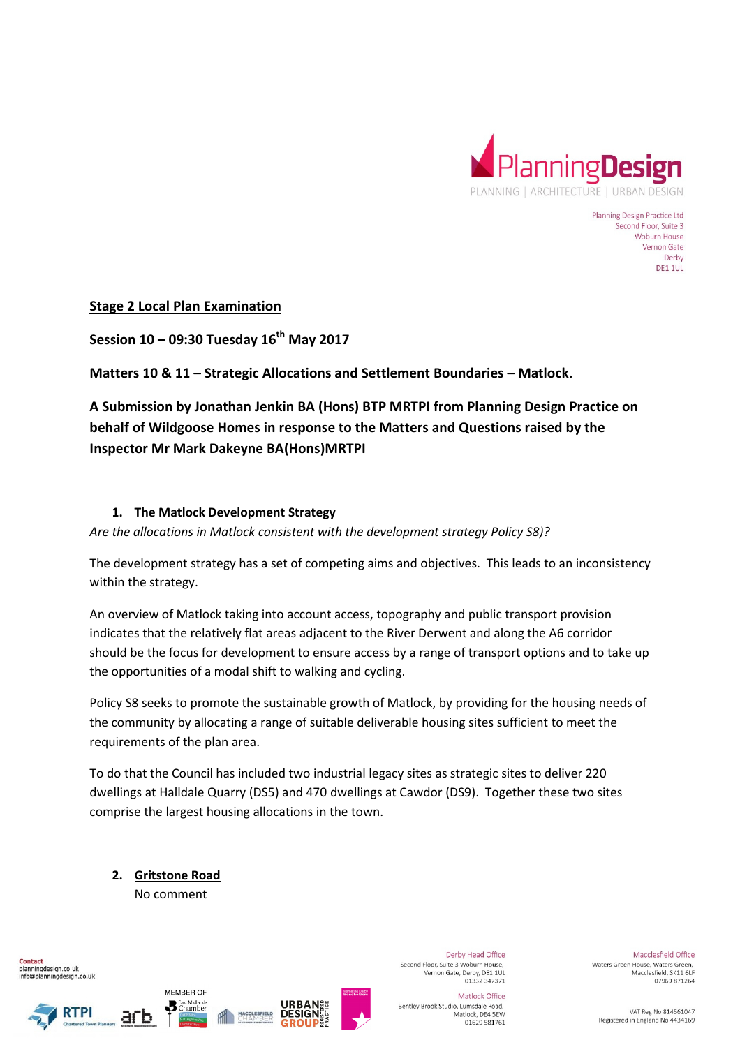

Planning Design Practice Ltd Second Floor, Suite 3 Woburn House Vernon Gate Derby **DE1 1UL** 

**Stage 2 Local Plan Examination** 

**Session 10 – 09:30 Tuesday 16th May 2017** 

**Matters 10 & 11 – Strategic Allocations and Settlement Boundaries – Matlock.** 

**A Submission by Jonathan Jenkin BA (Hons) BTP MRTPI from Planning Design Practice on behalf of Wildgoose Homes in response to the Matters and Questions raised by the Inspector Mr Mark Dakeyne BA(Hons)MRTPI** 

#### **1. The Matlock Development Strategy**

*Are the allocations in Matlock consistent with the development strategy Policy S8)?* 

The development strategy has a set of competing aims and objectives. This leads to an inconsistency within the strategy.

An overview of Matlock taking into account access, topography and public transport provision indicates that the relatively flat areas adjacent to the River Derwent and along the A6 corridor should be the focus for development to ensure access by a range of transport options and to take up the opportunities of a modal shift to walking and cycling.

Policy S8 seeks to promote the sustainable growth of Matlock, by providing for the housing needs of the community by allocating a range of suitable deliverable housing sites sufficient to meet the requirements of the plan area.

To do that the Council has included two industrial legacy sites as strategic sites to deliver 220 dwellings at Halldale Quarry (DS5) and 470 dwellings at Cawdor (DS9). Together these two sites comprise the largest housing allocations in the town.

**2. Gritstone Road**  No comment

MEMBER OF

**B** East Midlands









Derby Head Office Second Floor, Suite 3 Woburn House. Vernon Gate, Derby, DE1 1UL<br>01332 347371

Macclesfield Office Waters Green House, Waters Green. Macclesfield, SK11 6LF 07969 871264

Matlock Office Bentley Brook Studio, Lumsdale Road, Matlock, DE4 5EW 01629 581761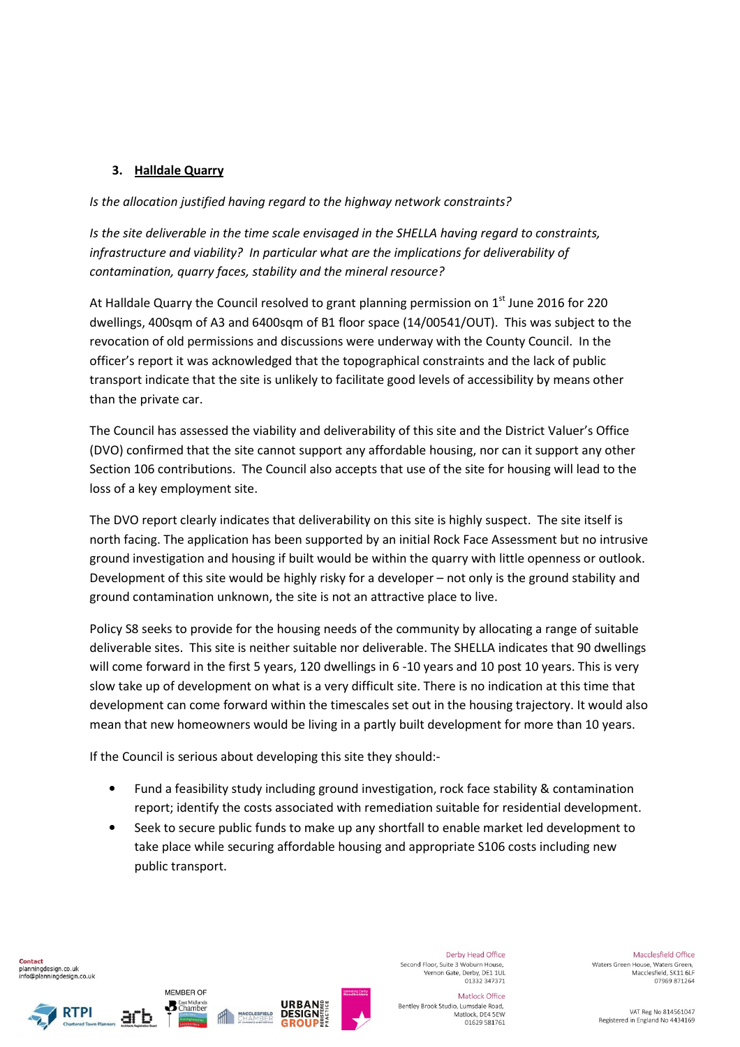# **3. Halldale Quarry**

*Is the allocation justified having regard to the highway network constraints?* 

*Is the site deliverable in the time scale envisaged in the SHELLA having regard to constraints, infrastructure and viability? In particular what are the implications for deliverability of contamination, quarry faces, stability and the mineral resource?* 

At Halldale Quarry the Council resolved to grant planning permission on  $1<sup>st</sup>$  June 2016 for 220 dwellings, 400sqm of A3 and 6400sqm of B1 floor space (14/00541/OUT). This was subject to the revocation of old permissions and discussions were underway with the County Council. In the officer's report it was acknowledged that the topographical constraints and the lack of public transport indicate that the site is unlikely to facilitate good levels of accessibility by means other than the private car.

The Council has assessed the viability and deliverability of this site and the District Valuer's Office (DVO) confirmed that the site cannot support any affordable housing, nor can it support any other Section 106 contributions. The Council also accepts that use of the site for housing will lead to the loss of a key employment site.

The DVO report clearly indicates that deliverability on this site is highly suspect. The site itself is north facing. The application has been supported by an initial Rock Face Assessment but no intrusive ground investigation and housing if built would be within the quarry with little openness or outlook. Development of this site would be highly risky for a developer – not only is the ground stability and ground contamination unknown, the site is not an attractive place to live.

Policy S8 seeks to provide for the housing needs of the community by allocating a range of suitable deliverable sites. This site is neither suitable nor deliverable. The SHELLA indicates that 90 dwellings will come forward in the first 5 years, 120 dwellings in 6 -10 years and 10 post 10 years. This is very slow take up of development on what is a very difficult site. There is no indication at this time that development can come forward within the timescales set out in the housing trajectory. It would also mean that new homeowners would be living in a partly built development for more than 10 years.

If the Council is serious about developing this site they should:-

- Fund a feasibility study including ground investigation, rock face stability & contamination report; identify the costs associated with remediation suitable for residential development.
- Seek to secure public funds to make up any shortfall to enable market led development to take place while securing affordable housing and appropriate S106 costs including new public transport.

Contact planningdesign.co.uk info@planningdesign.co.uk







Derby Head Office Second Floor, Suite 3 Woburn House. Vernon Gate, Derby, DE1 1UL<br>01332 347371

Macclesfield Office Waters Green House, Waters Green. Macclesfield, SK11 6LF 07969 871264

Matlock Office Bentley Brook Studio, Lumsdale Road, Matlock, DE4 5EW 01629 581761

VAT Reg No 814561047 Registered in England No 4434169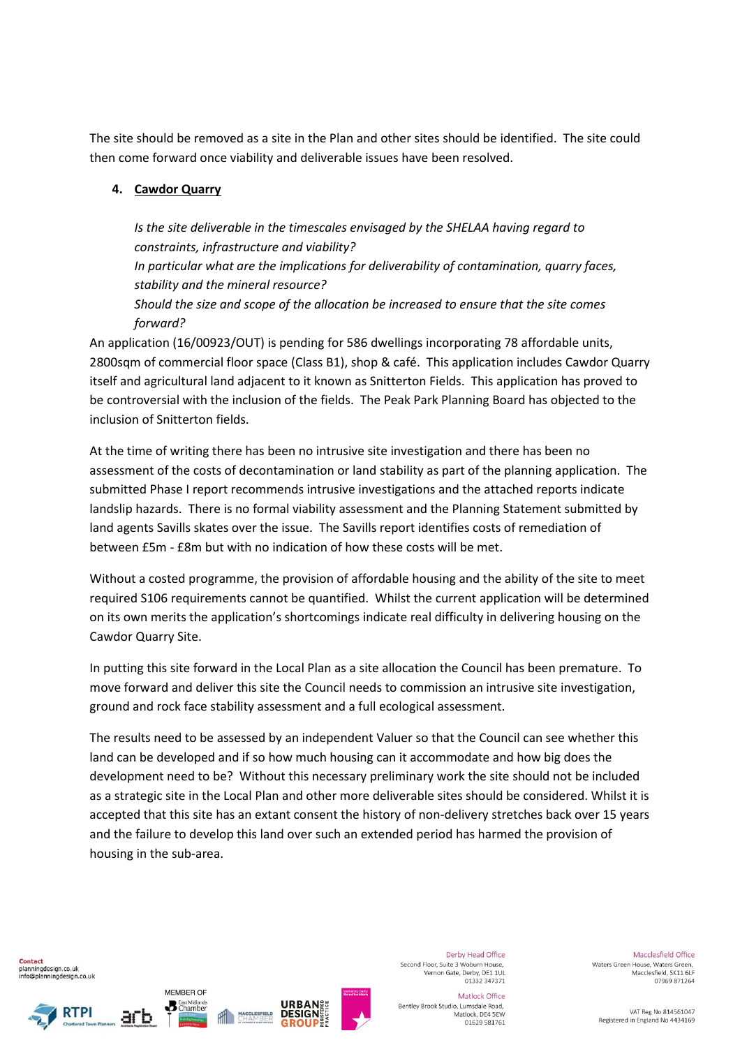The site should be removed as a site in the Plan and other sites should be identified. The site could then come forward once viability and deliverable issues have been resolved.

## **4. Cawdor Quarry**

*Is the site deliverable in the timescales envisaged by the SHELAA having regard to constraints, infrastructure and viability?* 

*In particular what are the implications for deliverability of contamination, quarry faces, stability and the mineral resource?* 

*Should the size and scope of the allocation be increased to ensure that the site comes forward?* 

An application (16/00923/OUT) is pending for 586 dwellings incorporating 78 affordable units, 2800sqm of commercial floor space (Class B1), shop & café. This application includes Cawdor Quarry itself and agricultural land adjacent to it known as Snitterton Fields. This application has proved to be controversial with the inclusion of the fields. The Peak Park Planning Board has objected to the inclusion of Snitterton fields.

At the time of writing there has been no intrusive site investigation and there has been no assessment of the costs of decontamination or land stability as part of the planning application. The submitted Phase I report recommends intrusive investigations and the attached reports indicate landslip hazards. There is no formal viability assessment and the Planning Statement submitted by land agents Savills skates over the issue. The Savills report identifies costs of remediation of between £5m - £8m but with no indication of how these costs will be met.

Without a costed programme, the provision of affordable housing and the ability of the site to meet required S106 requirements cannot be quantified. Whilst the current application will be determined on its own merits the application's shortcomings indicate real difficulty in delivering housing on the Cawdor Quarry Site.

In putting this site forward in the Local Plan as a site allocation the Council has been premature. To move forward and deliver this site the Council needs to commission an intrusive site investigation, ground and rock face stability assessment and a full ecological assessment.

The results need to be assessed by an independent Valuer so that the Council can see whether this land can be developed and if so how much housing can it accommodate and how big does the development need to be? Without this necessary preliminary work the site should not be included as a strategic site in the Local Plan and other more deliverable sites should be considered. Whilst it is accepted that this site has an extant consent the history of non-delivery stretches back over 15 years and the failure to develop this land over such an extended period has harmed the provision of housing in the sub-area.

Contact planningdesign.co.uk info@planningdesign.co.uk





MEMBER OF

**B** East Midlands



Derby Head Office Second Floor, Suite 3 Woburn House. Vernon Gate, Derby, DE1 1UL<br>01332 347371

Macclesfield Office Waters Green House, Waters Green. Macclesfield, SK11 6LF 07969 871264

Matlock Office Bentley Brook Studio, Lumsdale Road, Matlock, DE4 5EW 01629 581761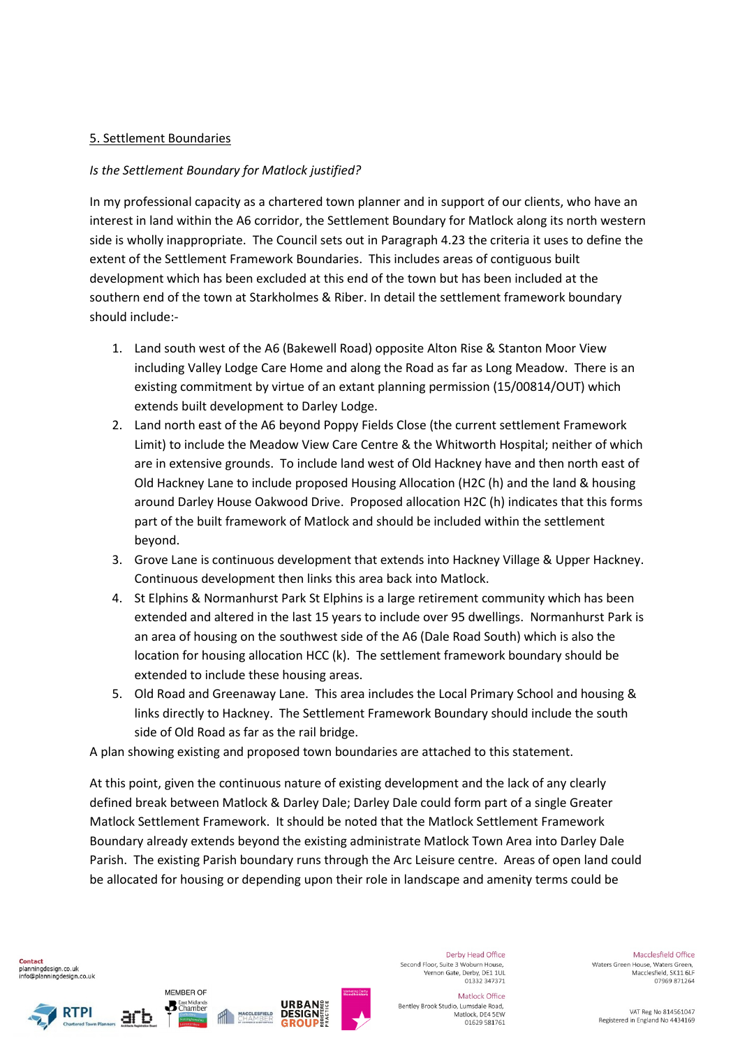#### 5. Settlement Boundaries

## *Is the Settlement Boundary for Matlock justified?*

In my professional capacity as a chartered town planner and in support of our clients, who have an interest in land within the A6 corridor, the Settlement Boundary for Matlock along its north western side is wholly inappropriate. The Council sets out in Paragraph 4.23 the criteria it uses to define the extent of the Settlement Framework Boundaries. This includes areas of contiguous built development which has been excluded at this end of the town but has been included at the southern end of the town at Starkholmes & Riber. In detail the settlement framework boundary should include:-

- 1. Land south west of the A6 (Bakewell Road) opposite Alton Rise & Stanton Moor View including Valley Lodge Care Home and along the Road as far as Long Meadow. There is an existing commitment by virtue of an extant planning permission (15/00814/OUT) which extends built development to Darley Lodge.
- 2. Land north east of the A6 beyond Poppy Fields Close (the current settlement Framework Limit) to include the Meadow View Care Centre & the Whitworth Hospital; neither of which are in extensive grounds. To include land west of Old Hackney have and then north east of Old Hackney Lane to include proposed Housing Allocation (H2C (h) and the land & housing around Darley House Oakwood Drive. Proposed allocation H2C (h) indicates that this forms part of the built framework of Matlock and should be included within the settlement beyond.
- 3. Grove Lane is continuous development that extends into Hackney Village & Upper Hackney. Continuous development then links this area back into Matlock.
- 4. St Elphins & Normanhurst Park St Elphins is a large retirement community which has been extended and altered in the last 15 years to include over 95 dwellings. Normanhurst Park is an area of housing on the southwest side of the A6 (Dale Road South) which is also the location for housing allocation HCC (k). The settlement framework boundary should be extended to include these housing areas.
- 5. Old Road and Greenaway Lane. This area includes the Local Primary School and housing & links directly to Hackney. The Settlement Framework Boundary should include the south side of Old Road as far as the rail bridge.

A plan showing existing and proposed town boundaries are attached to this statement.

At this point, given the continuous nature of existing development and the lack of any clearly defined break between Matlock & Darley Dale; Darley Dale could form part of a single Greater Matlock Settlement Framework. It should be noted that the Matlock Settlement Framework Boundary already extends beyond the existing administrate Matlock Town Area into Darley Dale Parish. The existing Parish boundary runs through the Arc Leisure centre. Areas of open land could be allocated for housing or depending upon their role in landscape and amenity terms could be





MEMBER OF

**B** East Midlands



Derby Head Office Second Floor, Suite 3 Woburn House. Vernon Gate, Derby, DE1 1UL<br>01332 347371

Bentley Brook Studio, Lumsdale Road,

Matlock Office

Matlock, DE4 5EW

01629 581761

Macclesfield Office Waters Green House, Waters Green. Macclesfield, SK11 6LF 07969 871264